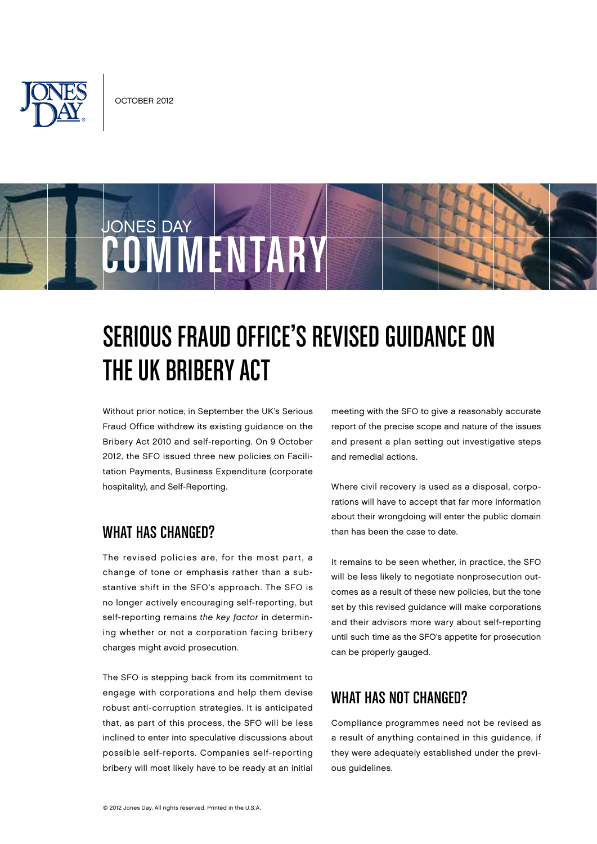



# Serious Fraud Office's Revised Guidance on the UK Bribery Act

Without prior notice, in September the UK's Serious Fraud Office withdrew its existing guidance on the Bribery Act 2010 and self-reporting. On 9 October 2012, the SFO issued three new policies on Facilitation Payments, Business Expenditure (corporate hospitality), and Self-Reporting.

#### WHAT HAS CHANGED?

The revised policies are, for the most part, a change of tone or emphasis rather than a substantive shift in the SFO's approach. The SFO is no longer actively encouraging self-reporting, but self-reporting remains the key factor in determining whether or not a corporation facing bribery charges might avoid prosecution.

The SFO is stepping back from its commitment to engage with corporations and help them devise robust anti-corruption strategies. It is anticipated that, as part of this process, the SFO will be less inclined to enter into speculative discussions about possible self-reports. Companies self-reporting bribery will most likely have to be ready at an initial

meeting with the SFO to give a reasonably accurate report of the precise scope and nature of the issues and present a plan setting out investigative steps and remedial actions.

Where civil recovery is used as a disposal, corporations will have to accept that far more information about their wrongdoing will enter the public domain than has been the case to date.

It remains to be seen whether, in practice, the SFO will be less likely to negotiate nonprosecution outcomes as a result of these new policies, but the tone set by this revised guidance will make corporations and their advisors more wary about self-reporting until such time as the SFO's appetite for prosecution can be properly gauged.

### WHAT HAS NOT CHANGED?

Compliance programmes need not be revised as a result of anything contained in this guidance, if they were adequately established under the previous guidelines.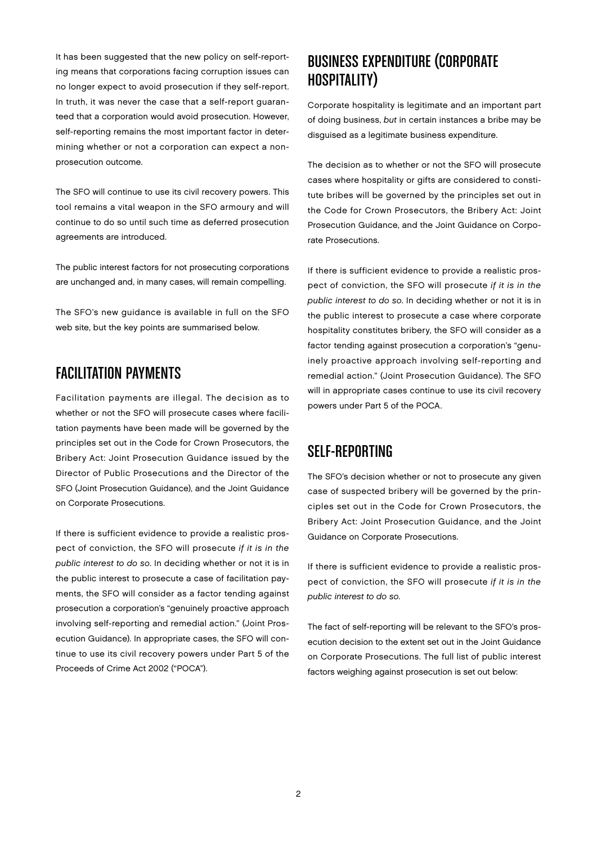It has been suggested that the new policy on self-reporting means that corporations facing corruption issues can no longer expect to avoid prosecution if they self-report. In truth, it was never the case that a self-report guaranteed that a corporation would avoid prosecution. However, self-reporting remains the most important factor in determining whether or not a corporation can expect a nonprosecution outcome.

The SFO will continue to use its civil recovery powers. This tool remains a vital weapon in the SFO armoury and will continue to do so until such time as deferred prosecution agreements are introduced.

The public interest factors for not prosecuting corporations are unchanged and, in many cases, will remain compelling.

The SFO's new guidance is available in full on the SFO web site, but the key points are summarised below.

### Facilitation Payments

Facilitation payments are illegal. The decision as to whether or not the SFO will prosecute cases where facilitation payments have been made will be governed by the principles set out in the Code for Crown Prosecutors, the Bribery Act: Joint Prosecution Guidance issued by the Director of Public Prosecutions and the Director of the SFO (Joint Prosecution Guidance), and the Joint Guidance on Corporate Prosecutions.

If there is sufficient evidence to provide a realistic prospect of conviction, the SFO will prosecute if it is in the public interest to do so. In deciding whether or not it is in the public interest to prosecute a case of facilitation payments, the SFO will consider as a factor tending against prosecution a corporation's "genuinely proactive approach involving self-reporting and remedial action." (Joint Prosecution Guidance). In appropriate cases, the SFO will continue to use its civil recovery powers under Part 5 of the Proceeds of Crime Act 2002 ("POCA").

# Business Expenditure (Corporate Hospitality)

Corporate hospitality is legitimate and an important part of doing business, but in certain instances a bribe may be disguised as a legitimate business expenditure.

The decision as to whether or not the SFO will prosecute cases where hospitality or gifts are considered to constitute bribes will be governed by the principles set out in the Code for Crown Prosecutors, the Bribery Act: Joint Prosecution Guidance, and the Joint Guidance on Corporate Prosecutions.

If there is sufficient evidence to provide a realistic prospect of conviction, the SFO will prosecute if it is in the public interest to do so. In deciding whether or not it is in the public interest to prosecute a case where corporate hospitality constitutes bribery, the SFO will consider as a factor tending against prosecution a corporation's "genuinely proactive approach involving self-reporting and remedial action." (Joint Prosecution Guidance). The SFO will in appropriate cases continue to use its civil recovery powers under Part 5 of the POCA.

# Self-Reporting

The SFO's decision whether or not to prosecute any given case of suspected bribery will be governed by the principles set out in the Code for Crown Prosecutors, the Bribery Act: Joint Prosecution Guidance, and the Joint Guidance on Corporate Prosecutions.

If there is sufficient evidence to provide a realistic prospect of conviction, the SFO will prosecute if it is in the public interest to do so.

The fact of self-reporting will be relevant to the SFO's prosecution decision to the extent set out in the Joint Guidance on Corporate Prosecutions. The full list of public interest factors weighing against prosecution is set out below: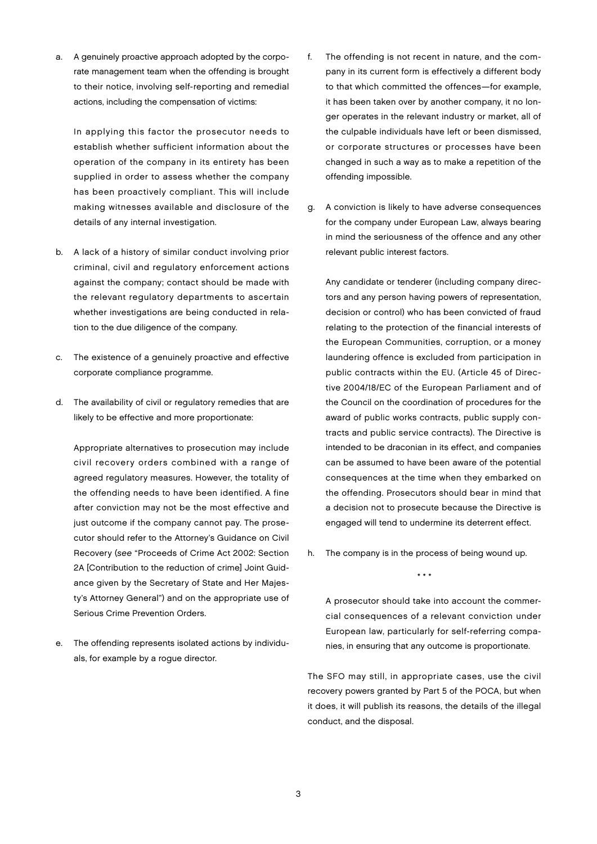a. A genuinely proactive approach adopted by the corporate management team when the offending is brought to their notice, involving self-reporting and remedial actions, including the compensation of victims:

In applying this factor the prosecutor needs to establish whether sufficient information about the operation of the company in its entirety has been supplied in order to assess whether the company has been proactively compliant. This will include making witnesses available and disclosure of the details of any internal investigation.

- b. A lack of a history of similar conduct involving prior criminal, civil and regulatory enforcement actions against the company; contact should be made with the relevant regulatory departments to ascertain whether investigations are being conducted in relation to the due diligence of the company.
- c. The existence of a genuinely proactive and effective corporate compliance programme.
- d. The availability of civil or regulatory remedies that are likely to be effective and more proportionate:

Appropriate alternatives to prosecution may include civil recovery orders combined with a range of agreed regulatory measures. However, the totality of the offending needs to have been identified. A fine after conviction may not be the most effective and just outcome if the company cannot pay. The prosecutor should refer to the Attorney's Guidance on Civil Recovery (see "Proceeds of Crime Act 2002: Section 2A [Contribution to the reduction of crime] Joint Guidance given by the Secretary of State and Her Majesty's Attorney General") and on the appropriate use of Serious Crime Prevention Orders.

e. The offending represents isolated actions by individuals, for example by a rogue director.

- f. The offending is not recent in nature, and the company in its current form is effectively a different body to that which committed the offences—for example, it has been taken over by another company, it no longer operates in the relevant industry or market, all of the culpable individuals have left or been dismissed, or corporate structures or processes have been changed in such a way as to make a repetition of the offending impossible.
- g. A conviction is likely to have adverse consequences for the company under European Law, always bearing in mind the seriousness of the offence and any other relevant public interest factors.

Any candidate or tenderer (including company directors and any person having powers of representation, decision or control) who has been convicted of fraud relating to the protection of the financial interests of the European Communities, corruption, or a money laundering offence is excluded from participation in public contracts within the EU. (Article 45 of Directive 2004/18/EC of the European Parliament and of the Council on the coordination of procedures for the award of public works contracts, public supply contracts and public service contracts). The Directive is intended to be draconian in its effect, and companies can be assumed to have been aware of the potential consequences at the time when they embarked on the offending. Prosecutors should bear in mind that a decision not to prosecute because the Directive is engaged will tend to undermine its deterrent effect.

h. The company is in the process of being wound up.

\* \* \*

A prosecutor should take into account the commercial consequences of a relevant conviction under European law, particularly for self-referring companies, in ensuring that any outcome is proportionate.

The SFO may still, in appropriate cases, use the civil recovery powers granted by Part 5 of the POCA, but when it does, it will publish its reasons, the details of the illegal conduct, and the disposal.